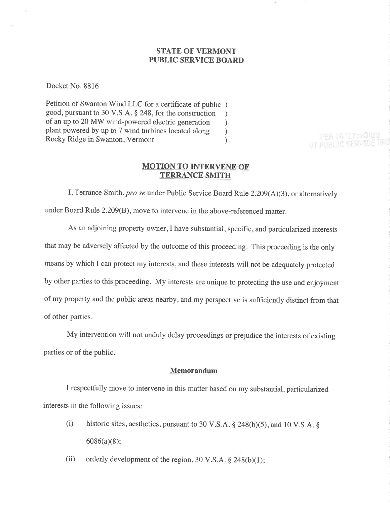### STATE OF VERMONT PUBLIC SERVICE BOARD

Docket No. 8816

Petition of Swanton Wind LLC for a certificate of public ) good, pursuant to 30 V.S.A. \$ 248, for the construction ) of an up to 20 MW wind-powered electric generation <br>plant powered by up to 7 wind turbines located along  $)$ plant powered by up to 7 wind turbines located along <br>Rocky Ridge in Swanton, Vermont (1) Rocky Ridge in Swanton, Vermont )

### MOTION TO INTERVENE OF' TERRANCE SMITH

PER 16/17 P/3/99 UT PURLIC SERVED

I, Terrance Smith, pro se under Public Service Board Rule  $2.209(A)(3)$ , or alternatively under Board Rule 2.209(B), move to intervene in the above-referenced matter.

As an adjoining property owner,I have substantial, specific, and particularized interests that may be adversely affected by the outcome of this proceeding. This proceeding is the only means by which I can protect my interests, and these interests will not be adequately protected by other parties to this proceeding. My interests are unique to protecting the use and enjoyment of my property and the public areas nearby, and my perspective is sufficiently distinct from that of other parties.

My intervention will not unduly delay proceedings or prejudice the interests of existing parties or of the public.

#### Memorandum

I respectfully move to intervene in this matter based on my substantial, particularized interests in the following issues:

- (i) historic sites, aesthetics, pursuant to 30 V.S.A.  $\S$  248(b)(5), and 10 V.S.A.  $\S$  $6086(a)(8);$
- (ii) orderly development of the region, 30 V.S.A.  $\S$  248(b)(1);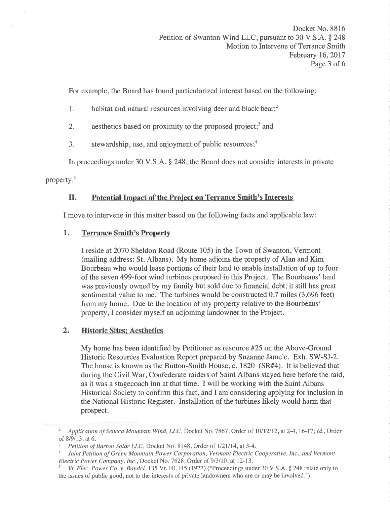For example, the Board has found particularized interest based on the following:

- 1. habitat and natural resources involving deer and black bear; $<sup>2</sup>$ </sup>
- 2. aesthetics based on proximity to the proposed project;<sup>3</sup> and
- 3. stewardship, use, and enjoyment of public resources; $<sup>4</sup>$ </sup>

In proceedings under 30 V.S.A. \$ 248, the Board does not consider interests in private

property.<sup>5</sup>

# II. Potential Impact of the Project on Terrance Smith's Interests

I move to intervene in this matter based on the following facts and applicable law:

# 1. Terrance Smith's Property

I reside at2070 Sheldon Road (Route 105) in the Town of Swanton, Vermont (mailing address: St. Albans). My home adjoins the property of Alan and Kim Bourbeau who would lease portions of their land to enable installation of up to four of the seven 499-foot wind turbines proposed in this Project. The Bourbeaus' land was previously owned by my family but sold due to financial debt; it still has great sentimental value to me. The turbines would be constructed 0.7 miles (3,696 feet) from my home. Due to the location of my property relative to the Bourbeaus' property,I consider myself an adjoining landowner to the Project.

# 2. Historic Sites: Aesthetics

My home has been identified by Petitioner as resource #25 on the Above-Ground Historic Resources Evaluation Report prepared by Suzanne Jamele. Exh. SW-SJ-2. The house is known as the Button-Smith House, c. 1820 (SR#4). It is believed that during the Civil War, Confederate raiders of Saint Albans stayed here before the raid, as it was a stagecoach inn at that time. I will be working with the Saint Albans Historical Society to confirm this fact, and I am considering applying for inclusion in the National Historic Register. Installation of the turbines likely would harm that prospect.

<sup>&</sup>lt;sup>2</sup> Application of Seneca Mountain Wind, LLC, Docket No. 7867, Order of 10/12/12, at 2-4, 16-17; Id., Order of 8/9/13, at 6.

<sup>&</sup>lt;sup>3</sup> Petition of Barton Solar LLC, Docket No. 8148, Order of  $1/21/14$ , at 3-4.

Joint Petition of Green Mountain Power Corporation, Vermont Electric Cooperative, Inc., and Vermont Electric Power Company, Inc., Docket No. 7628, Order of 9/3/10, at 12-13.<br><sup>5</sup> Vt. Elec. Power Co. v. Bandel, 135 Vt. 141, 145 (1977) ("Proceedings under 30 V.S.A. § 248 relate only to

the issues of public good, not to the interests of private landowners who are or may be involved.").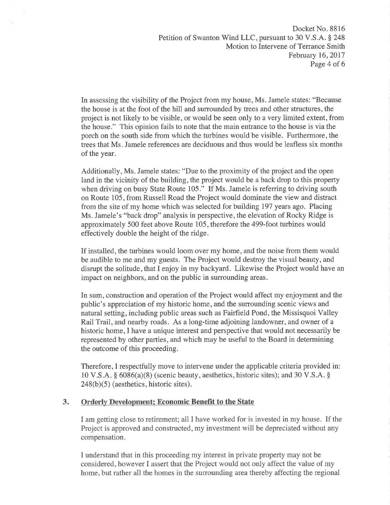In assessing the visibility of the Project from my house, Ms. Jamele states: "Because the house is at the foot of the hill and surrounded by trees and other structures, the project is not likely to be visible, or would be seen only to a very limited extent, from the house." This opinion fails to note that the main entrance to the house is via the porch on the south side from which the turbines would be visible. Furthermore, the trees that Ms. Jamele references are deciduous and thus would be leafless six months of the year.

۰.

Additionally, Ms. Jamele states: "Due to the proximity of the project and the open land in the vicinity of the building, the project would be a back drop to this property when driving on busy State Route 105." If Ms. Jamele is referring to driving south on Route 105, from Russell Road the Project would dominate the view and distract from the site of my home which was selected for building 197 years ago. Placing Ms. Jamele's "back drop" analysis in perspective, the elevation of Rocky Ridge is approximately 500 feet above Route 105, therefore the 499-foot turbines would effectively double the height of the ridge.

If installed, the turbines would loom over my home, and the noise from them would be audible to me and my guests. The Project would destroy the visual beauty, and disrupt the solitude, that I enjoy in my backyard. Likewise the Project would have an impact on neighbors, and on the public in surrounding areas.

In sum, construction and operation of the Project would affect my enjoyment and the public's appreciation of my historic home, and the surrounding scenic views and natural setting, including public areas such as Fairfield Pond, the Missisquoi Valley Rail Trail, and nearby roads. As a long-time adjoining landowner, and owner of a historic home,I have a unique interest and perspective that would not necessarily be represented by other parties, and which may be useful to the Board in determining the outcome of this proceeding.

Therefore, I respectfully move to intervene under the applicable criteria provided in: 10 V.S.A.  $\S$  6086(a)(8) (scenic beauty, aesthetics, historic sites); and 30 V.S.A.  $\S$  $248(b)(5)$  (aesthetics, historic sites).

## 3. Orderly Development: Economic Benefit to the State

I am getting close to retirement; all I have worked for is invested in my house. If the Project is approved and constructed, my investment will be depreciated without any compensation.

I understand that in this proceeding my interest in private property may not be considered, however I assert that the Project would not only affect the value of my home, but rather all the homes in the surrounding area thereby affecting the regional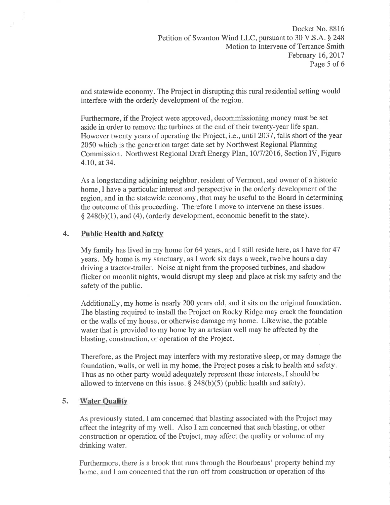and statewide economy. The Project in disrupting this rural residential setting would interfere with the orderly development of the region.

Furthermore, if the Project were approved, decommissioning money must be set aside in order to remove the turbines at the end of their twenty-year life span. However twenty years of operating the Project, i.e., until 2037, falls short of the year 2050 which is the generation target date set by Northwest Regional Planning Commission. Northwest Regional Draft Energy PIan,101712016, Section IV, Figure 4.10,at34.

As a longstanding adjoining neighbor, resident of Vermont, and owner of a historic home, I have a particular interest and perspective in the orderly development of the region, and in the statewide economy, that may be useful to the Board in determining the outcome of this proceeding. Therefore I move to intervene on these issues.  $§$  248(b)(1), and (4), (orderly development, economic benefit to the state).

# 4. Public Health and Safety

My family has lived in my home for 64 years, and I still reside here, as I have for 47 years. My home is my sanctuary, as I work six days a week, twelve hours a day driving a tractor-trailer. Noise at night from the proposed turbines, and shadow flicker on moonlit nights, would disrupt my sleep and place at risk my safety and the safety of the public.

Additionally, my home is nearly 200 years old, and it sits on the original foundation. The blasting required to install the Project on Rocky Ridge may crack the foundation or the walls of my house, or otherwise damage my home. Likewise, the potable water that is provided to my home by an artesian well may be affected by the blasting, construction, or operation of the Project.

Therefore, as the Project may interfere with my restorative sleep, or may damage the foundation, walls, or well in my home, the Project poses a risk to health and safety. Thus as no other party would adequately represent these interests, I should be allowed to intervene on this issue.  $\S$  248(b)(5) (public health and safety).

## 5. Water Quality

As previously stated,I am concerned that blasting associated with the Project may affect the integrity of my well. Also I am concerned that such blasting, or other construction or operation of the Project, may affect the quality or volume of my drinking water.

Furthermore, there is a brook that runs through the Bourbeaus' property behind my home, and I am concerned that the run-off from construction or operation of the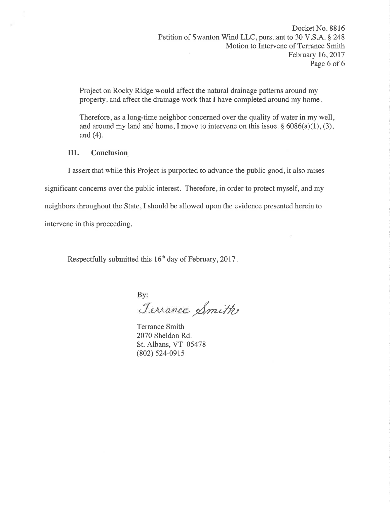Project on Rocky Ridge would affect the natural drainage patterns around my property, and affect the drainage work that I have completed around my home

Therefore, as a long-time neighbor concerned over the quality of water in my well, and around my land and home, I move to intervene on this issue.  $\S 6086(a)(1)$ , (3), and (4).

# III. Conclusion

I assert that while this Project is purported to advance the public good, it also raises

significant concerns over the public interest. Therefore, in order to protect myself, and my

neighbors throughout the State,I should be allowed upon the evidence presented herein to

intervene in this proceeding.

Respectfully submitted this 16'h day of February,2017

By:

Jerrance Smith

Terrance Smith 2070 Sheldon Rd. St. Albans, VT 05478 (802) 524-0915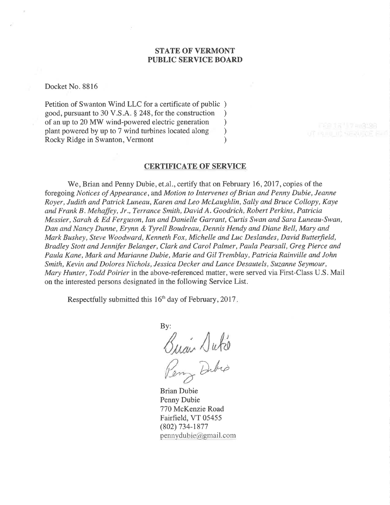### STATE OF VERMONT PUBLIC SERVICE BOARD

Docket No. 8816

Petition of Swanton Wind LLC for a certificate of public ) good, pursuant to 30 V.S.A. \$ 248, for the construction ) of an up to 20 MW wind-powered electric generation <br>plant powered by up to 7 wind turbines located along  $\qquad)$ plant powered by up to 7 wind turbines located along (a) Rocky Ridge in Swanton. Vermont (b) Rocky Ridge in Swanton, Vermont )

#### CERTIFICATE OF SERVICE

We, Brian and Penny Dubie, et.al., certify that on February 16, 2017, copies of the foregoing Notices of Appearance, and Motion to Intervenes of Brian and Penny Dubie, Jeanne Royer, Judith and Patrick Luneau, Karen and Leo McLaughlin, Sally and Bruce Collopy, Kaye and Frank B. Mehaffey, Jr., Terrance Smith, David A. Goodrich, Robert Perkins, Patricia Messier, Sarah & Ed Ferguson, Ian and Danielle Garrant, Curtis Swan and Sara Luneau-Swan, Dan and Nancy Dunne, Erynn & Tyrell Boudreau, Dennis Hendy and Diane Bell, Mary and Mark Bushey, Steve Woodward, Kenneth Fox, Michelle and Luc Deslandes, David Butterfield, Bradley Stott and Jennifer Belanger, Clark and Carol Palmer, Paula Pearsall, Greg Pierce and Paula Kane, Mark and Marianne Dubie, Marie and Gil Tremblay, Patricia Rainville and John Smith, Kevin and Dolores Nichols, Jessica Decker and Lance Desautels, Suzanne Seymour, Mary Hunter, Todd Poirier in the above-referenced matter, were served via First-Class U.S. Mail on the interested persons designated in the following Service List.

Respectfully submitted this  $16<sup>th</sup>$  day of February, 2017.

By:  $\sqrt{u}$ hel Dubio

Brian Dubie Penny Dubie 770 McKenzie Road Fairfield, VT 05455 (802) 734-1877  $p$ ennydubie@gmail.com